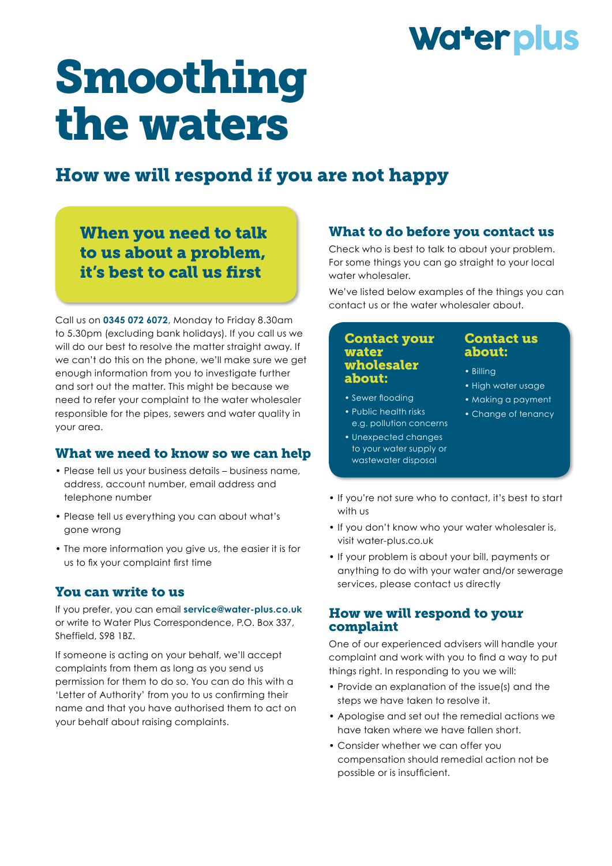## Water plus

# Smoothing the waters

### How we will respond if you are not happy

When you need to talk to us about a problem, it's best to call us frst

Call us on **0345 072 6072**, Monday to Friday 8.30am to 5.30pm (excluding bank holidays). If you call us we will do our best to resolve the matter straight away. If we can't do this on the phone, we'll make sure we get enough information from you to investigate further and sort out the matter. This might be because we need to refer your complaint to the water wholesaler responsible for the pipes, sewers and water quality in your area.

#### What we need to know so we can help

- Please tell us your business details business name, address, account number, email address and telephone number
- Please tell us everything you can about what's gone wrong
- The more information you give us, the easier it is for us to fx your complaint frst time

#### You can write to us

If you prefer, you can email **service@water-plus.co.uk** or write to Water Plus Correspondence, P.O. Box 337, Sheffield, S98 1BZ.

If someone is acting on your behalf, we'll accept complaints from them as long as you send us permission for them to do so. You can do this with a 'Letter of Authority' from you to us confrming their name and that you have authorised them to act on your behalf about raising complaints.

#### What to do before you contact us

Check who is best to talk to about your problem. For some things you can go straight to your local water wholesaler.

We've listed below examples of the things you can contact us or the water wholesaler about.

#### Contact your water wholesaler about:

- Sewer flooding
- Public health risks e.g. pollution concerns
- Unexpected changes to your water supply or wastewater disposal

#### Contact us about:

- Billing
- High water usage
- Making a payment
- Change of tenancy
- If you're not sure who to contact, it's best to start with us
- If you don't know who your water wholesaler is, visit water-plus.co.uk
- If your problem is about your bill, payments or anything to do with your water and/or sewerage services, please contact us directly

#### How we will respond to your complaint

One of our experienced advisers will handle your complaint and work with you to fnd a way to put things right. In responding to you we will:

- Provide an explanation of the issue(s) and the steps we have taken to resolve it.
- Apologise and set out the remedial actions we have taken where we have fallen short.
- Consider whether we can offer you compensation should remedial action not be possible or is insuffcient.